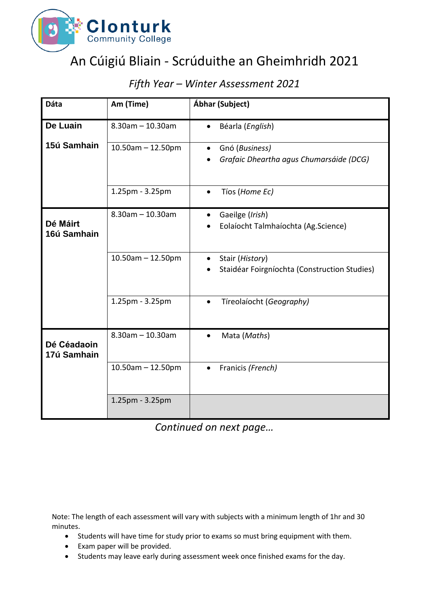

## An Cúigiú Bliain - Scrúduithe an Gheimhridh 2021

| Dáta                       | Am (Time)               | Ábhar (Subject)                                                        |
|----------------------------|-------------------------|------------------------------------------------------------------------|
| De Luain                   | $8.30$ am $- 10.30$ am  | Béarla (English)                                                       |
| 15ú Samhain                | $10.50$ am - 12.50pm    | Gnó (Business)<br>$\bullet$<br>Grafaic Dheartha agus Chumarsáide (DCG) |
|                            | 1.25pm - 3.25pm         | Tíos (Home Ec)<br>$\bullet$                                            |
| Dé Máirt<br>16ú Samhain    | $8.30$ am $- 10.30$ am  | Gaeilge (Irish)<br>Eolaíocht Talmhaíochta (Ag.Science)                 |
|                            | $10.50$ am - 12.50pm    | Stair (History)<br>Staidéar Foirgníochta (Construction Studies)        |
|                            | 1.25pm - 3.25pm         | Tíreolaíocht (Geography)                                               |
| Dé Céadaoin<br>17ú Samhain | $8.30$ am $- 10.30$ am  | Mata (Maths)                                                           |
|                            | $10.50$ am $- 12.50$ pm | Franicis (French)                                                      |
|                            | 1.25pm - 3.25pm         |                                                                        |

## *Fifth Year – Winter Assessment 2021*

*Continued on next page…*

Note: The length of each assessment will vary with subjects with a minimum length of 1hr and 30 minutes.

- Students will have time for study prior to exams so must bring equipment with them.
- Exam paper will be provided.
- Students may leave early during assessment week once finished exams for the day.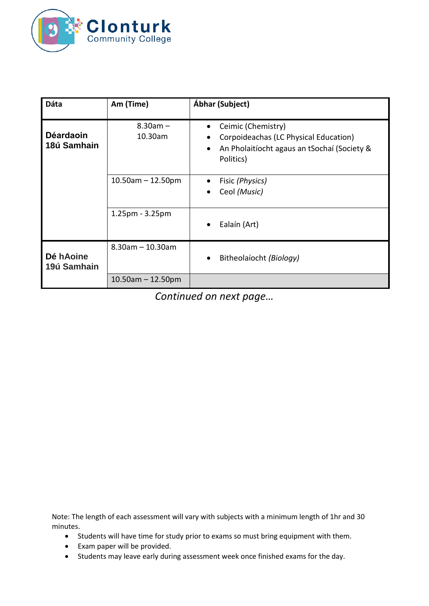

| Dáta                            | Am (Time)               | Ábhar (Subject)                                                                                                         |
|---------------------------------|-------------------------|-------------------------------------------------------------------------------------------------------------------------|
| <b>Déardaoin</b><br>18ú Samhain | $8.30am -$<br>10.30am   | Ceimic (Chemistry)<br>Corpoideachas (LC Physical Education)<br>An Pholaitíocht agaus an tSochaí (Society &<br>Politics) |
|                                 | $10.50$ am - 12.50pm    | Fisic (Physics)<br>Ceol (Music)                                                                                         |
|                                 | $1.25$ pm - $3.25$ pm   | Ealaín (Art)                                                                                                            |
| Dé hAoine<br>19ú Samhain        | $8.30$ am $- 10.30$ am  | Bitheolaíocht (Biology)                                                                                                 |
|                                 | $10.50$ am $- 12.50$ pm |                                                                                                                         |

*Continued on next page…*

Note: The length of each assessment will vary with subjects with a minimum length of 1hr and 30 minutes.

- Students will have time for study prior to exams so must bring equipment with them.
- Exam paper will be provided.
- Students may leave early during assessment week once finished exams for the day.